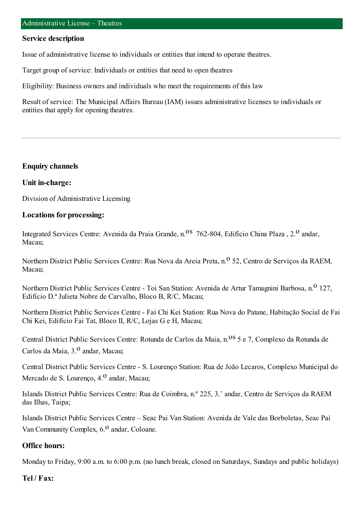#### **Service description**

Issue of administrative license to individuals or entities that intend to operate theatres.

Target group of service: Individuals or entities that need to open theatres

Eligibility: Business owners and individuals who meet the requirements of this law

Result of service: The Municipal Affairs Bureau (IAM) issues administrative licenses to individuals or entities that apply for opening theatres.

### **Enquiry channels**

### **Unit in-charge:**

Division of Administrative Licensing

### **Locations for processing:**

Integrated Services Centre: Avenida da Praia Grande, n.<sup>08</sup> 762-804, Edifício China Plaza, 2.<sup>0</sup> andar, Macau;

Northern District Public Services Centre: Rua Nova da Areia Preta, n.<sup>o</sup> 52, Centro de Servicos da RAEM, Macau;

Northern District Public Services Centre - Toi San Station: Avenida de Artur Tamagnini Barbosa, n.<sup>0</sup> 127, Edifício D.ª Julieta Nobre de Carvalho, Bloco B, R/C, Macau;

Northern District Public Services Centre - Fai Chi Kei Station: Rua Nova do Patane, Habitação Social de Fai Chi Kei, Edifício Fai Tat, Bloco II, R/C, Lojas G e H, Macau;

Central District Public Services Centre: Rotunda de Carlos da Maia, n.<sup>08</sup> 5 e 7, Complexo da Rotunda de Carlos da Maia, 3.<sup>0</sup> andar, Macau;

Central District Public Services Centre - S. Lourenço Station: Rua de João Lecaros, Complexo Municipal do Mercado de S. Lourenço, 4.<sup>0</sup> andar, Macau;

Islands District Public Services Centre: Rua de Coimbra, n.º 225, 3.˚ andar, Centro de Serviços da RAEM das Ilhas, Taipa;

Islands District Public Services Centre – Seac Pai Van Station: Avenida de Vale das Borboletas, Seac Pai Van Community Complex,  $6<sup>0</sup>$  andar, Coloane.

### **Office hours:**

Monday to Friday, 9:00 a.m. to 6:00 p.m. (no lunch break, closed on Saturdays, Sundays and public holidays)

#### **Tel / Fax:**